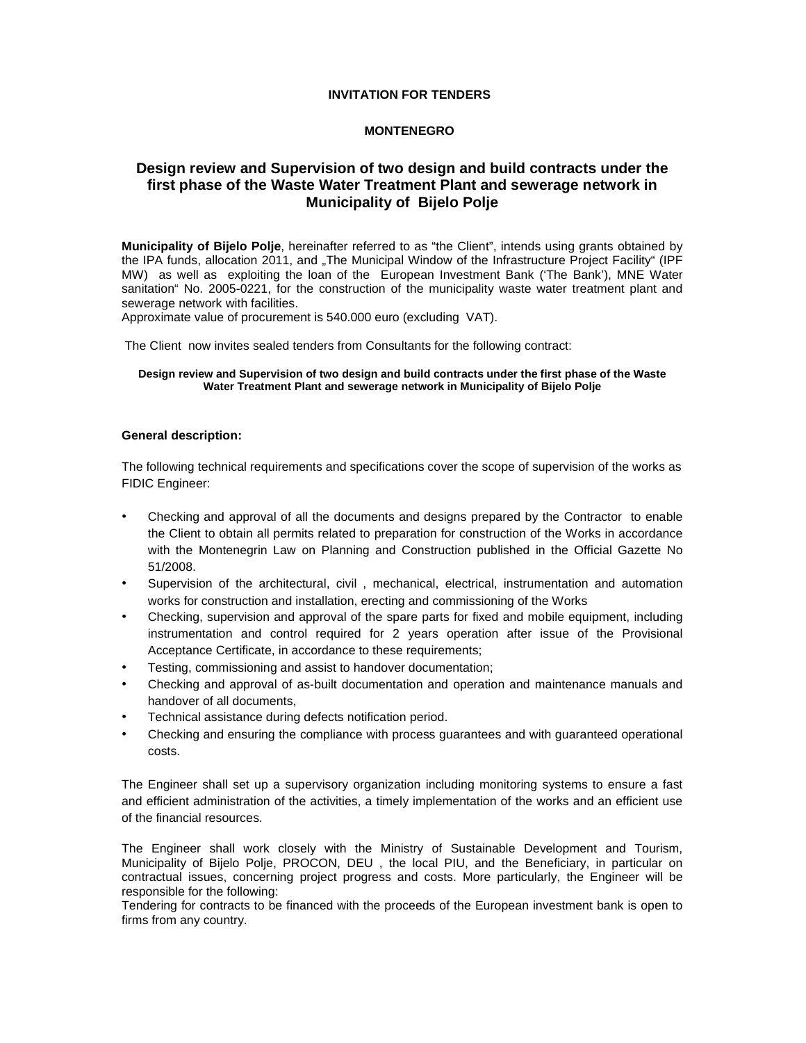# **INVITATION FOR TENDERS**

# **MONTENEGRO**

# **Design review and Supervision of two design and build contracts under the first phase of the Waste Water Treatment Plant and sewerage network in Municipality of Bijelo Polje**

**Municipality of Bijelo Polje**, hereinafter referred to as "the Client", intends using grants obtained by the IPA funds, allocation 2011, and "The Municipal Window of the Infrastructure Project Facility" (IPF MW) as well as exploiting the loan of the European Investment Bank ('The Bank'), MNE Water sanitation" No. 2005-0221, for the construction of the municipality waste water treatment plant and sewerage network with facilities.

Approximate value of procurement is 540.000 euro (excluding VAT).

The Client now invites sealed tenders from Consultants for the following contract:

#### **Design review and Supervision of two design and build contracts under the first phase of the Waste Water Treatment Plant and sewerage network in Municipality of Bijelo Polje**

#### **General description:**

The following technical requirements and specifications cover the scope of supervision of the works as FIDIC Engineer:

- Checking and approval of all the documents and designs prepared by the Contractor to enable the Client to obtain all permits related to preparation for construction of the Works in accordance with the Montenegrin Law on Planning and Construction published in the Official Gazette No 51/2008.
- Supervision of the architectural, civil , mechanical, electrical, instrumentation and automation works for construction and installation, erecting and commissioning of the Works
- Checking, supervision and approval of the spare parts for fixed and mobile equipment, including instrumentation and control required for 2 years operation after issue of the Provisional Acceptance Certificate, in accordance to these requirements;
- Testing, commissioning and assist to handover documentation;
- Checking and approval of as-built documentation and operation and maintenance manuals and handover of all documents,
- Technical assistance during defects notification period.
- Checking and ensuring the compliance with process guarantees and with guaranteed operational costs.

The Engineer shall set up a supervisory organization including monitoring systems to ensure a fast and efficient administration of the activities, a timely implementation of the works and an efficient use of the financial resources.

The Engineer shall work closely with the Ministry of Sustainable Development and Tourism, Municipality of Bijelo Polje, PROCON, DEU , the local PIU, and the Beneficiary, in particular on contractual issues, concerning project progress and costs. More particularly, the Engineer will be responsible for the following:

Tendering for contracts to be financed with the proceeds of the European investment bank is open to firms from any country.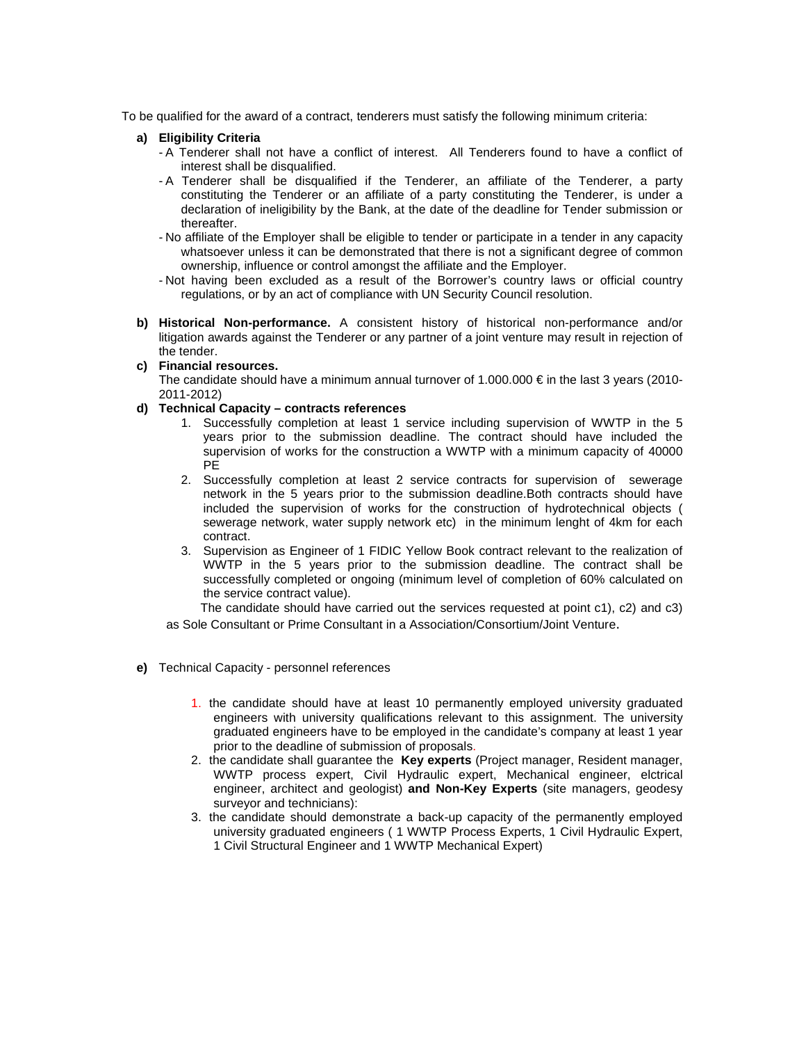To be qualified for the award of a contract, tenderers must satisfy the following minimum criteria:

## **a) Eligibility Criteria**

- A Tenderer shall not have a conflict of interest. All Tenderers found to have a conflict of interest shall be disqualified.
- A Tenderer shall be disqualified if the Tenderer, an affiliate of the Tenderer, a party constituting the Tenderer or an affiliate of a party constituting the Tenderer, is under a declaration of ineligibility by the Bank, at the date of the deadline for Tender submission or thereafter.
- No affiliate of the Employer shall be eligible to tender or participate in a tender in any capacity whatsoever unless it can be demonstrated that there is not a significant degree of common ownership, influence or control amongst the affiliate and the Employer.
- Not having been excluded as a result of the Borrower's country laws or official country regulations, or by an act of compliance with UN Security Council resolution.
- **b) Historical Non-performance.** A consistent history of historical non-performance and/or litigation awards against the Tenderer or any partner of a joint venture may result in rejection of the tender.
- **c) Financial resources.**  The candidate should have a minimum annual turnover of 1.000.000  $\epsilon$  in the last 3 years (2010-2011-2012)
- **d) Technical Capacity contracts references** 
	- 1. Successfully completion at least 1 service including supervision of WWTP in the 5 years prior to the submission deadline. The contract should have included the supervision of works for the construction a WWTP with a minimum capacity of 40000 PE
	- 2. Successfully completion at least 2 service contracts for supervision of sewerage network in the 5 years prior to the submission deadline.Both contracts should have included the supervision of works for the construction of hydrotechnical objects ( sewerage network, water supply network etc) in the minimum lenght of 4km for each contract.
	- 3. Supervision as Engineer of 1 FIDIC Yellow Book contract relevant to the realization of WWTP in the 5 years prior to the submission deadline. The contract shall be successfully completed or ongoing (minimum level of completion of 60% calculated on the service contract value).

 The candidate should have carried out the services requested at point c1), c2) and c3) as Sole Consultant or Prime Consultant in a Association/Consortium/Joint Venture.

- **e)** Technical Capacity personnel references
	- 1. the candidate should have at least 10 permanently employed university graduated engineers with university qualifications relevant to this assignment. The university graduated engineers have to be employed in the candidate's company at least 1 year prior to the deadline of submission of proposals.
	- 2. the candidate shall guarantee the **Key experts** (Project manager, Resident manager, WWTP process expert, Civil Hydraulic expert, Mechanical engineer, elctrical engineer, architect and geologist) **and Non-Key Experts** (site managers, geodesy surveyor and technicians):
	- 3. the candidate should demonstrate a back-up capacity of the permanently employed university graduated engineers ( 1 WWTP Process Experts, 1 Civil Hydraulic Expert, 1 Civil Structural Engineer and 1 WWTP Mechanical Expert)